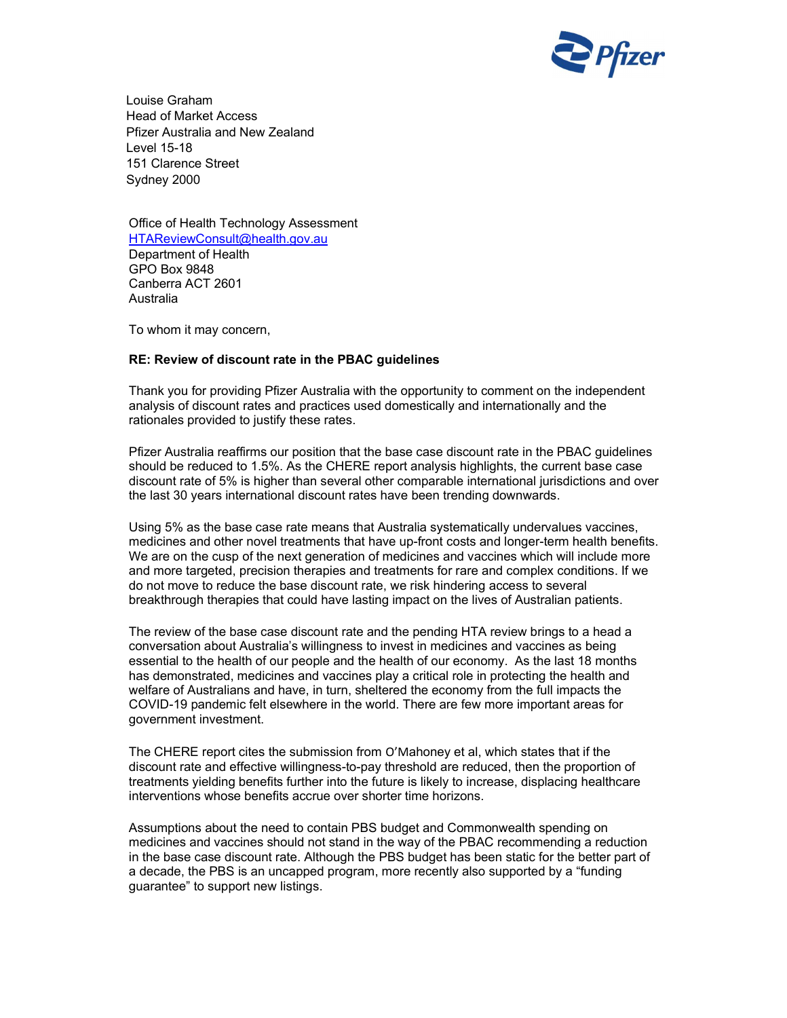

Louise Graham Head of Market Access Pfizer Australia and New Zealand Level 15-18 151 Clarence Street Sydney 2000

Office of Health Technology Assessment HTAReviewConsult@health.gov.au Department of Health GPO Box 9848 Canberra ACT 2601 Australia

To whom it may concern,

## RE: Review of discount rate in the PBAC guidelines

Thank you for providing Pfizer Australia with the opportunity to comment on the independent analysis of discount rates and practices used domestically and internationally and the rationales provided to justify these rates.

Pfizer Australia reaffirms our position that the base case discount rate in the PBAC guidelines should be reduced to 1.5%. As the CHERE report analysis highlights, the current base case discount rate of 5% is higher than several other comparable international jurisdictions and over the last 30 years international discount rates have been trending downwards.

Using 5% as the base case rate means that Australia systematically undervalues vaccines, medicines and other novel treatments that have up-front costs and longer-term health benefits. We are on the cusp of the next generation of medicines and vaccines which will include more and more targeted, precision therapies and treatments for rare and complex conditions. If we do not move to reduce the base discount rate, we risk hindering access to several breakthrough therapies that could have lasting impact on the lives of Australian patients.

The review of the base case discount rate and the pending HTA review brings to a head a conversation about Australia's willingness to invest in medicines and vaccines as being essential to the health of our people and the health of our economy. As the last 18 months has demonstrated, medicines and vaccines play a critical role in protecting the health and welfare of Australians and have, in turn, sheltered the economy from the full impacts the COVID-19 pandemic felt elsewhere in the world. There are few more important areas for government investment.

The CHERE report cites the submission from O'Mahoney et al, which states that if the discount rate and effective willingness-to-pay threshold are reduced, then the proportion of treatments yielding benefits further into the future is likely to increase, displacing healthcare interventions whose benefits accrue over shorter time horizons.

Assumptions about the need to contain PBS budget and Commonwealth spending on medicines and vaccines should not stand in the way of the PBAC recommending a reduction in the base case discount rate. Although the PBS budget has been static for the better part of a decade, the PBS is an uncapped program, more recently also supported by a "funding guarantee" to support new listings.